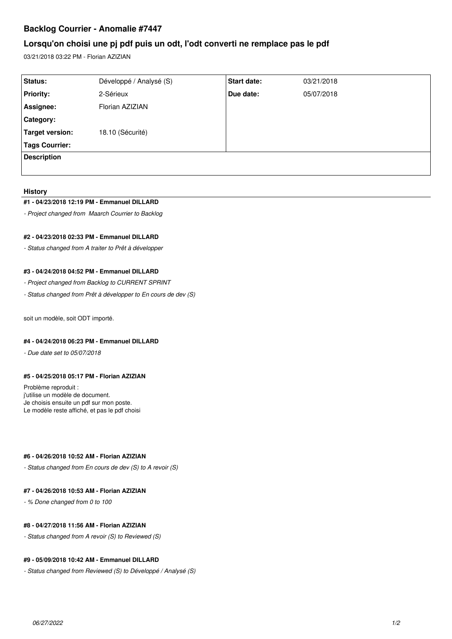# **Backlog Courrier - Anomalie #7447**

# **Lorsqu'on choisi une pj pdf puis un odt, l'odt converti ne remplace pas le pdf**

03/21/2018 03:22 PM - Florian AZIZIAN

| Status:               | Développé / Analysé (S) | <b>Start date:</b> | 03/21/2018 |
|-----------------------|-------------------------|--------------------|------------|
| <b>Priority:</b>      | 2-Sérieux               | Due date:          | 05/07/2018 |
| Assignee:             | Florian AZIZIAN         |                    |            |
| Category:             |                         |                    |            |
| Target version:       | 18.10 (Sécurité)        |                    |            |
| <b>Tags Courrier:</b> |                         |                    |            |
| <b>Description</b>    |                         |                    |            |
|                       |                         |                    |            |

#### **History**

#### **#1 - 04/23/2018 12:19 PM - Emmanuel DILLARD**

*- Project changed from Maarch Courrier to Backlog*

## **#2 - 04/23/2018 02:33 PM - Emmanuel DILLARD**

*- Status changed from A traiter to Prêt à développer*

### **#3 - 04/24/2018 04:52 PM - Emmanuel DILLARD**

- *Project changed from Backlog to CURRENT SPRINT*
- *Status changed from Prêt à développer to En cours de dev (S)*

soit un modèle, soit ODT importé.

### **#4 - 04/24/2018 06:23 PM - Emmanuel DILLARD**

*- Due date set to 05/07/2018*

### **#5 - 04/25/2018 05:17 PM - Florian AZIZIAN**

Problème reproduit : j'utilise un modèle de document. Je choisis ensuite un pdf sur mon poste. Le modèle reste affiché, et pas le pdf choisi

#### **#6 - 04/26/2018 10:52 AM - Florian AZIZIAN**

*- Status changed from En cours de dev (S) to A revoir (S)*

### **#7 - 04/26/2018 10:53 AM - Florian AZIZIAN**

*- % Done changed from 0 to 100*

### **#8 - 04/27/2018 11:56 AM - Florian AZIZIAN**

*- Status changed from A revoir (S) to Reviewed (S)*

### **#9 - 05/09/2018 10:42 AM - Emmanuel DILLARD**

*- Status changed from Reviewed (S) to Développé / Analysé (S)*